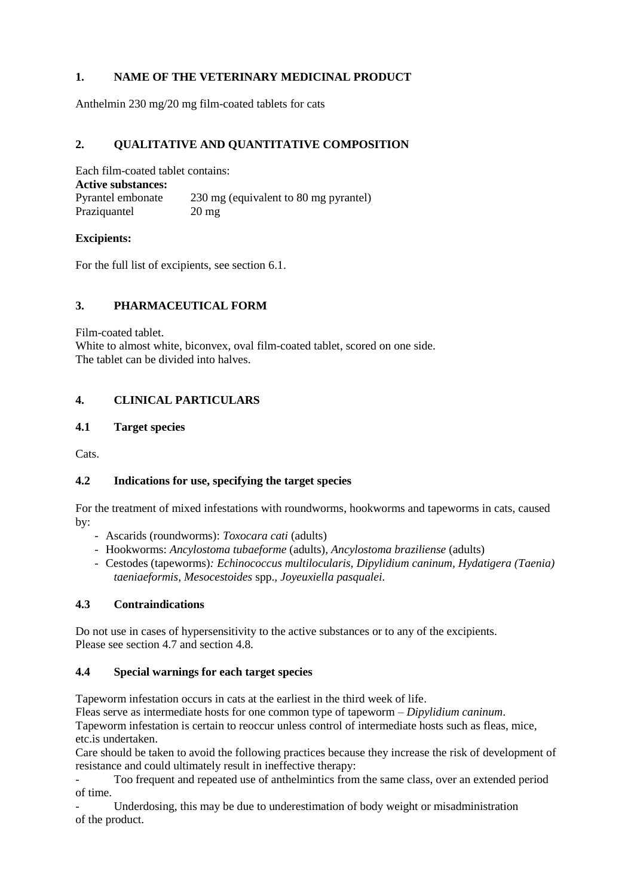# **1. NAME OF THE VETERINARY MEDICINAL PRODUCT**

Anthelmin 230 mg/20 mg film-coated tablets for cats

# **2. QUALITATIVE AND QUANTITATIVE COMPOSITION**

Each film-coated tablet contains: **Active substances:** Pyrantel embonate 230 mg (equivalent to 80 mg pyrantel) Praziquantel 20 mg

## **Excipients:**

For the full list of excipients, see section 6.1.

# **3. PHARMACEUTICAL FORM**

Film-coated tablet.

White to almost white, biconvex, oval film-coated tablet, scored on one side. The tablet can be divided into halves.

# **4. CLINICAL PARTICULARS**

## **4.1 Target species**

Cats.

# **4.2 Indications for use, specifying the target species**

For the treatment of mixed infestations with roundworms, hookworms and tapeworms in cats, caused by:

- Ascarids (roundworms): *Toxocara cati* (adults)
- Hookworms: *Ancylostoma tubaeforme* (adults)*, Ancylostoma braziliense* (adults)
- Cestodes (tapeworms)*: Echinococcus multilocularis, Dipylidium caninum, Hydatigera (Taenia) taeniaeformis, Mesocestoides* spp.*, Joyeuxiella pasqualei.*

# **4.3 Contraindications**

Do not use in cases of hypersensitivity to the active substances or to any of the excipients. Please see section 4.7 and section 4.8.

#### **4.4 Special warnings for each target species**

Tapeworm infestation occurs in cats at the earliest in the third week of life.

Fleas serve as intermediate hosts for one common type of tapeworm – *Dipylidium caninum*.

Tapeworm infestation is certain to reoccur unless control of intermediate hosts such as fleas, mice, etc.is undertaken.

Care should be taken to avoid the following practices because they increase the risk of development of resistance and could ultimately result in ineffective therapy:

- Too frequent and repeated use of anthelmintics from the same class, over an extended period of time.

Underdosing, this may be due to underestimation of body weight or misadministration of the product.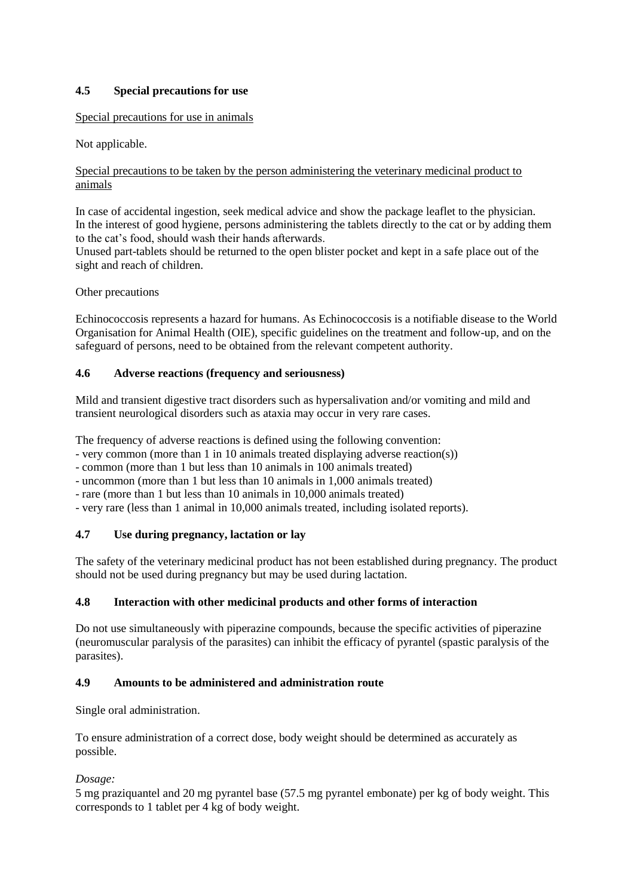# **4.5 Special precautions for use**

# Special precautions for use in animals

# Not applicable.

## Special precautions to be taken by the person administering the veterinary medicinal product to animals

In case of accidental ingestion, seek medical advice and show the package leaflet to the physician. In the interest of good hygiene, persons administering the tablets directly to the cat or by adding them to the cat's food, should wash their hands afterwards.

Unused part-tablets should be returned to the open blister pocket and kept in a safe place out of the sight and reach of children.

Other precautions

Echinococcosis represents a hazard for humans. As Echinococcosis is a notifiable disease to the World Organisation for Animal Health (OIE), specific guidelines on the treatment and follow-up, and on the safeguard of persons, need to be obtained from the relevant competent authority.

## **4.6 Adverse reactions (frequency and seriousness)**

Mild and transient digestive tract disorders such as hypersalivation and/or vomiting and mild and transient neurological disorders such as ataxia may occur in very rare cases.

The frequency of adverse reactions is defined using the following convention:

- very common (more than 1 in 10 animals treated displaying adverse reaction(s))

- common (more than 1 but less than 10 animals in 100 animals treated)

- uncommon (more than 1 but less than 10 animals in 1,000 animals treated)
- rare (more than 1 but less than 10 animals in 10,000 animals treated)
- very rare (less than 1 animal in 10,000 animals treated, including isolated reports).

# **4.7 Use during pregnancy, lactation or lay**

The safety of the veterinary medicinal product has not been established during pregnancy. The product should not be used during pregnancy but may be used during lactation.

# **4.8 Interaction with other medicinal products and other forms of interaction**

Do not use simultaneously with piperazine compounds, because the specific activities of piperazine (neuromuscular paralysis of the parasites) can inhibit the efficacy of pyrantel (spastic paralysis of the parasites).

## **4.9 Amounts to be administered and administration route**

Single oral administration.

To ensure administration of a correct dose, body weight should be determined as accurately as possible.

#### *Dosage:*

5 mg praziquantel and 20 mg pyrantel base (57.5 mg pyrantel embonate) per kg of body weight. This corresponds to 1 tablet per 4 kg of body weight.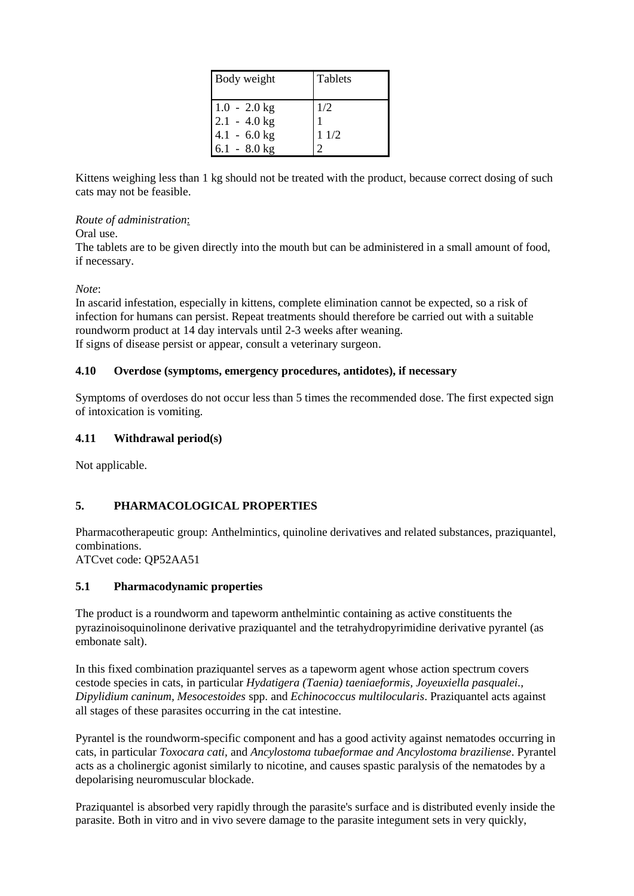| Body weight                      | <b>Tablets</b> |
|----------------------------------|----------------|
| $1.0 - 2.0$ kg<br>$2.1 - 4.0$ kg | 1/2            |
| $4.1 - 6.0$ kg<br>$6.1 - 8.0$ kg | 11/2           |

Kittens weighing less than 1 kg should not be treated with the product, because correct dosing of such cats may not be feasible.

#### *Route of administration*:

Oral use.

The tablets are to be given directly into the mouth but can be administered in a small amount of food, if necessary.

*Note*:

In ascarid infestation, especially in kittens, complete elimination cannot be expected, so a risk of infection for humans can persist. Repeat treatments should therefore be carried out with a suitable roundworm product at 14 day intervals until 2-3 weeks after weaning. If signs of disease persist or appear, consult a veterinary surgeon.

## **4.10 Overdose (symptoms, emergency procedures, antidotes), if necessary**

Symptoms of overdoses do not occur less than 5 times the recommended dose. The first expected sign of intoxication is vomiting.

## **4.11 Withdrawal period(s)**

Not applicable.

# **5. PHARMACOLOGICAL PROPERTIES**

Pharmacotherapeutic group: Anthelmintics, quinoline derivatives and related substances, praziquantel, combinations.

ATCvet code: QP52AA51

# **5.1 Pharmacodynamic properties**

The product is a roundworm and tapeworm anthelmintic containing as active constituents the pyrazinoisoquinolinone derivative praziquantel and the tetrahydropyrimidine derivative pyrantel (as embonate salt).

In this fixed combination praziquantel serves as a tapeworm agent whose action spectrum covers cestode species in cats, in particular *Hydatigera (Taenia) taeniaeformis, Joyeuxiella pasqualei., Dipylidium caninum, Mesocestoides* spp. and *Echinococcus multilocularis*. Praziquantel acts against all stages of these parasites occurring in the cat intestine.

Pyrantel is the roundworm-specific component and has a good activity against nematodes occurring in cats, in particular *Toxocara cati,* and *Ancylostoma tubaeformae and Ancylostoma braziliense*. Pyrantel acts as a cholinergic agonist similarly to nicotine, and causes spastic paralysis of the nematodes by a depolarising neuromuscular blockade.

Praziquantel is absorbed very rapidly through the parasite's surface and is distributed evenly inside the parasite. Both in vitro and in vivo severe damage to the parasite integument sets in very quickly,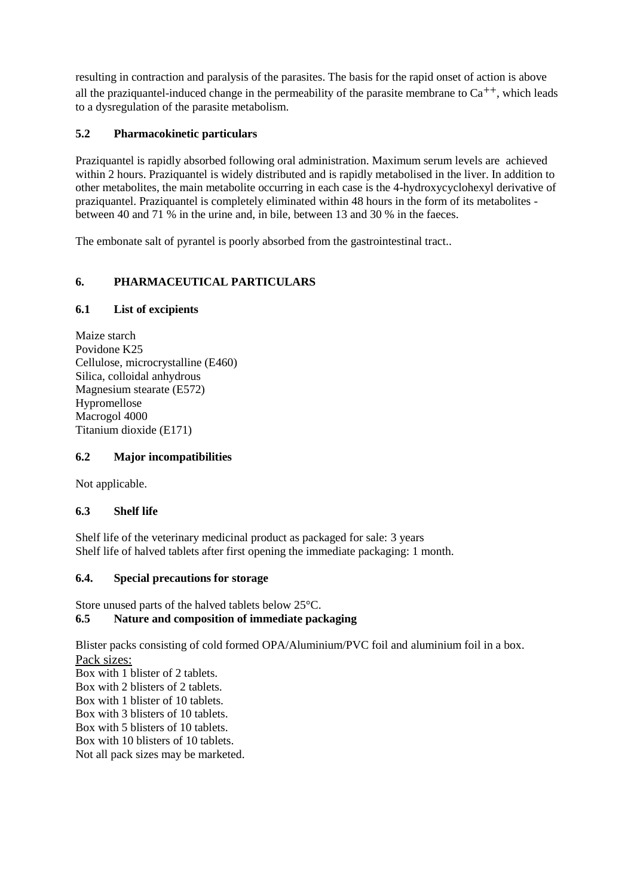resulting in contraction and paralysis of the parasites. The basis for the rapid onset of action is above all the praziquantel-induced change in the permeability of the parasite membrane to  $Ca^{++}$ , which leads to a dysregulation of the parasite metabolism.

# **5.2 Pharmacokinetic particulars**

Praziquantel is rapidly absorbed following oral administration. Maximum serum levels are achieved within 2 hours. Praziquantel is widely distributed and is rapidly metabolised in the liver. In addition to other metabolites, the main metabolite occurring in each case is the 4-hydroxycyclohexyl derivative of praziquantel. Praziquantel is completely eliminated within 48 hours in the form of its metabolites between 40 and 71 % in the urine and, in bile, between 13 and 30 % in the faeces.

The embonate salt of pyrantel is poorly absorbed from the gastrointestinal tract..

# **6. PHARMACEUTICAL PARTICULARS**

# **6.1 List of excipients**

Maize starch Povidone K25 Cellulose, microcrystalline (E460) Silica, colloidal anhydrous Magnesium stearate (E572) Hypromellose Macrogol 4000 Titanium dioxide (E171)

# **6.2 Major incompatibilities**

Not applicable.

# **6.3 Shelf life**

Shelf life of the veterinary medicinal product as packaged for sale: 3 years Shelf life of halved tablets after first opening the immediate packaging: 1 month.

# **6.4. Special precautions for storage**

Store unused parts of the halved tablets below 25°C.

# **6.5 Nature and composition of immediate packaging**

Blister packs consisting of cold formed OPA/Aluminium/PVC foil and aluminium foil in a box. Pack sizes: Box with 1 blister of 2 tablets. Box with 2 blisters of 2 tablets. Box with 1 blister of 10 tablets. Box with 3 blisters of 10 tablets. Box with 5 blisters of 10 tablets. Box with 10 blisters of 10 tablets. Not all pack sizes may be marketed.